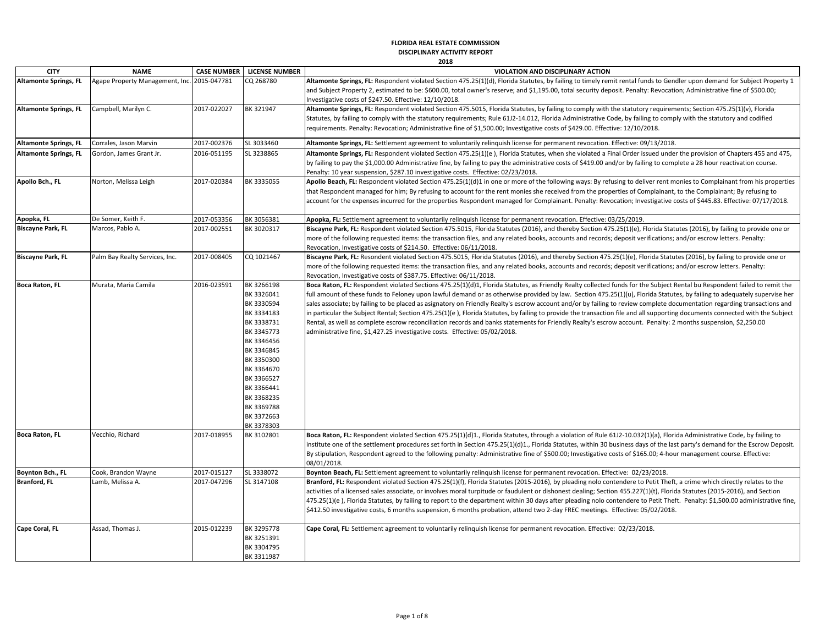## **FLORIDA REAL ESTATE COMMISSION DISCIPLINARY ACTIVITY REPORT**

| 2018<br>۰ |
|-----------|
|-----------|

| <b>CITY</b>                  | <b>NAME</b>                     |             | <b>CASE NUMBER   LICENSE NUMBER</b>                                                                                                                                                                                          | VIOLATION AND DISCIPLINARY ACTION                                                                                                                                                                                                                                                                                                                                                                                                                                                                                                                                                                                                                                                                                                                                                                                                                                                                                                                                 |
|------------------------------|---------------------------------|-------------|------------------------------------------------------------------------------------------------------------------------------------------------------------------------------------------------------------------------------|-------------------------------------------------------------------------------------------------------------------------------------------------------------------------------------------------------------------------------------------------------------------------------------------------------------------------------------------------------------------------------------------------------------------------------------------------------------------------------------------------------------------------------------------------------------------------------------------------------------------------------------------------------------------------------------------------------------------------------------------------------------------------------------------------------------------------------------------------------------------------------------------------------------------------------------------------------------------|
| <b>Altamonte Springs, FL</b> | Agape Property Management, Inc. | 2015-047781 | CQ 268780                                                                                                                                                                                                                    | Altamonte Springs, FL: Respondent violated Section 475.25(1)(d), Florida Statutes, by failing to timely remit rental funds to Gendler upon demand for Subject Property 1<br>and Subject Property 2, estimated to be: \$600.00, total owner's reserve; and \$1,195.00, total security deposit. Penalty: Revocation; Administrative fine of \$500.00;<br>Investigative costs of \$247.50. Effective: 12/10/2018.                                                                                                                                                                                                                                                                                                                                                                                                                                                                                                                                                    |
| <b>Altamonte Springs, FL</b> | Campbell, Marilyn C.            | 2017-022027 | BK 321947                                                                                                                                                                                                                    | Altamonte Springs, FL: Respondent violated Section 475.5015, Florida Statutes, by failing to comply with the statutory requirements; Section 475.25(1)(v), Florida<br>Statutes, by failing to comply with the statutory requirements; Rule 61J2-14.012, Florida Administrative Code, by failing to comply with the statutory and codified<br>requirements. Penalty: Revocation; Administrative fine of \$1,500.00; Investigative costs of \$429.00. Effective: 12/10/2018.                                                                                                                                                                                                                                                                                                                                                                                                                                                                                        |
| <b>Altamonte Springs, FL</b> | Corrales, Jason Marvin          | 2017-002376 | SL 3033460                                                                                                                                                                                                                   | Altamonte Springs, FL: Settlement agreement to voluntarily relinguish license for permanent revocation. Effective: 09/13/2018.                                                                                                                                                                                                                                                                                                                                                                                                                                                                                                                                                                                                                                                                                                                                                                                                                                    |
| <b>Altamonte Springs, FL</b> | Gordon, James Grant Jr.         | 2016-051195 | SL 3238865                                                                                                                                                                                                                   | Altamonte Springs, FL: Respondent violated Section 475.25(1)(e), Florida Statutes, when she violated a Final Order issued under the provision of Chapters 455 and 475,<br>by failing to pay the \$1,000.00 Administrative fine, by failing to pay the administrative costs of \$419.00 and/or by failing to complete a 28 hour reactivation course.<br>Penalty: 10 year suspension, \$287.10 investigative costs. Effective: 02/23/2018.                                                                                                                                                                                                                                                                                                                                                                                                                                                                                                                          |
| Apollo Bch., FL              | Norton, Melissa Leigh           | 2017-020384 | BK 3335055                                                                                                                                                                                                                   | Apollo Beach, FL: Respondent violated Section 475.25(1)(d)1 in one or more of the following ways: By refusing to deliver rent monies to Complainant from his properties<br>that Respondent managed for him; By refusing to account for the rent monies she received from the properties of Complainant, to the Complainant; By refusing to<br>account for the expenses incurred for the properties Respondent managed for Complainant. Penalty: Revocation; Investigative costs of \$445.83. Effective: 07/17/2018.                                                                                                                                                                                                                                                                                                                                                                                                                                               |
| Apopka, FL                   | De Somer, Keith F.              | 2017-053356 | BK 3056381                                                                                                                                                                                                                   | Apopka, FL: Settlement agreement to voluntarily relinguish license for permanent revocation. Effective: 03/25/2019.                                                                                                                                                                                                                                                                                                                                                                                                                                                                                                                                                                                                                                                                                                                                                                                                                                               |
| <b>Biscayne Park, FL</b>     | Marcos, Pablo A.                | 2017-002551 | BK 3020317                                                                                                                                                                                                                   | Biscayne Park, FL: Respondent violated Section 475.5015, Florida Statutes (2016), and thereby Section 475.25(1)(e), Florida Statutes (2016), by failing to provide one or<br>more of the following requested items: the transaction files, and any related books, accounts and records; deposit verifications; and/or escrow letters. Penalty:<br>Revocation, Investigative costs of \$214.50. Effective: 06/11/2018.                                                                                                                                                                                                                                                                                                                                                                                                                                                                                                                                             |
| <b>Biscayne Park, FL</b>     | Palm Bay Realty Services, Inc.  | 2017-008405 | CQ 1021467                                                                                                                                                                                                                   | Biscayne Park, FL: Resondent violated Section 475.5015, Florida Statutes (2016), and thereby Section 475.25(1)(e), Florida Statutes (2016), by failing to provide one or<br>more of the following requested items: the transaction files, and any related books, accounts and records; deposit verifications; and/or escrow letters. Penalty:<br>Revocation, Investigative costs of \$387.75. Effective: 06/11/2018.                                                                                                                                                                                                                                                                                                                                                                                                                                                                                                                                              |
| <b>Boca Raton, FL</b>        | Murata, Maria Camila            | 2016-023591 | BK 3266198<br>BK 3326041<br>BK 3330594<br>BK 3334183<br>BK 3338731<br>BK 3345773<br>BK 3346456<br>BK 3346845<br>BK 3350300<br>BK 3364670<br>BK 3366527<br>BK 3366441<br>BK 3368235<br>BK 3369788<br>BK 3372663<br>BK 3378303 | Boca Raton, FL: Respondent violated Sections 475.25(1)(d)1, Florida Statutes, as Friendly Realty collected funds for the Subject Rental bu Respondent failed to remit the<br>full amount of these funds to Feloney upon lawful demand or as otherwise provided by law. Section 475.25(1)(u), Florida Statutes, by failing to adequately supervise her<br>sales associate; by failing to be placed as asignatory on Friendly Realty's escrow account and/or by failing to review complete documentation regarding transactions and<br>in particular the Subject Rental; Section 475.25(1)(e), Florida Statutes, by failing to provide the transaction file and all supporting documents connected with the Subject<br>Rental, as well as complete escrow reconciliation records and banks statements for Friendly Realty's escrow account. Penalty: 2 months suspension, \$2,250.00<br>administrative fine, \$1,427.25 investigative costs. Effective: 05/02/2018. |
| <b>Boca Raton, FL</b>        | Vecchio, Richard                | 2017-018955 | BK 3102801                                                                                                                                                                                                                   | Boca Raton, FL: Respondent violated Section 475.25(1)(d)1., Florida Statutes, through a violation of Rule 61J2-10.032(1)(a), Florida Administrative Code, by failing to<br>institute one of the settlement procedures set forth in Section 475.25(1)(d)1., Florida Statutes, within 30 business days of the last party's demand for the Escrow Deposit.<br>By stipulation, Respondent agreed to the following penalty: Administrative fine of \$500.00; Investigative costs of \$165.00; 4-hour management course. Effective:<br>08/01/2018.                                                                                                                                                                                                                                                                                                                                                                                                                      |
| Boynton Bch., FL             | Cook, Brandon Wayne             | 2017-015127 | SL 3338072                                                                                                                                                                                                                   | Boynton Beach, FL: Settlement agreement to voluntarily relinguish license for permanent revocation. Effective: 02/23/2018.                                                                                                                                                                                                                                                                                                                                                                                                                                                                                                                                                                                                                                                                                                                                                                                                                                        |
| <b>Branford, FL</b>          | Lamb, Melissa A.                | 2017-047296 | SL 3147108                                                                                                                                                                                                                   | Branford, FL: Respondent violated Section 475.25(1)(f), Florida Statutes (2015-2016), by pleading nolo contendere to Petit Theft, a crime which directly relates to the<br>activities of a licensed sales associate, or involves moral turpitude or faudulent or dishonest dealing; Section 455.227(1)(t), Florida Statutes (2015-2016), and Section<br>475.25(1)(e), Florida Statutes, by failing to report to the department within 30 days after pleading nolo contendere to Petit Theft. Penalty: \$1,500.00 administrative fine,<br>\$412.50 investigative costs, 6 months suspension, 6 months probation, attend two 2-day FREC meetings. Effective: 05/02/2018.                                                                                                                                                                                                                                                                                            |
| Cape Coral, FL               | Assad, Thomas J.                | 2015-012239 | BK 3295778<br>BK 3251391<br>BK 3304795<br>BK 3311987                                                                                                                                                                         | Cape Coral, FL: Settlement agreement to voluntarily relinguish license for permanent revocation. Effective: 02/23/2018.                                                                                                                                                                                                                                                                                                                                                                                                                                                                                                                                                                                                                                                                                                                                                                                                                                           |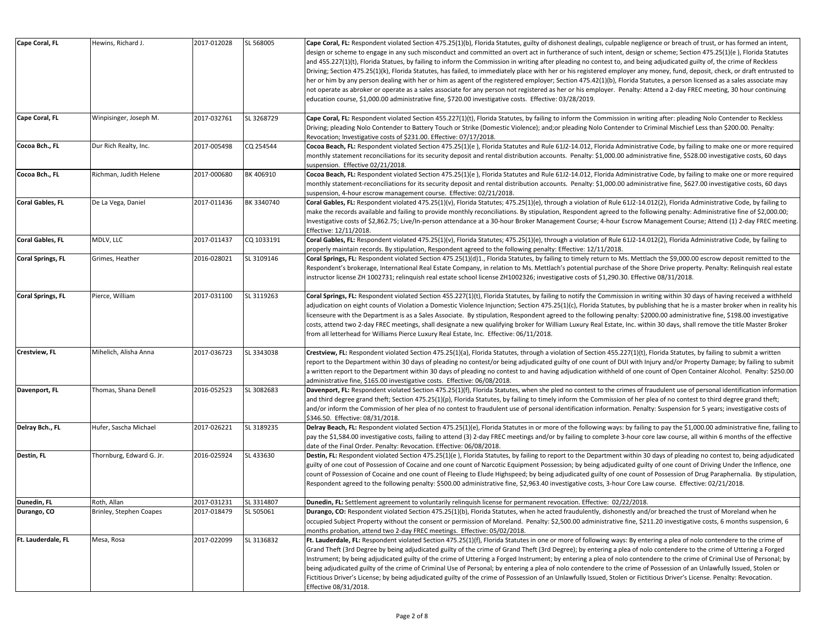| Cape Coral, FL           | Hewins, Richard J.       | 2017-012028 | SL 568005  | Cape Coral, FL: Respondent violated Section 475.25(1)(b), Florida Statutes, guilty of dishonest dealings, culpable negligence or breach of trust, or has formed an intent,<br>design or scheme to engage in any such misconduct and committed an overt act in furtherance of such intent, design or scheme; Section 475.25(1)(e), Florida Statutes |
|--------------------------|--------------------------|-------------|------------|----------------------------------------------------------------------------------------------------------------------------------------------------------------------------------------------------------------------------------------------------------------------------------------------------------------------------------------------------|
|                          |                          |             |            | and 455.227(1)(t), Florida Statues, by failing to inform the Commission in writing after pleading no contest to, and being adjudicated guilty of, the crime of Reckless                                                                                                                                                                            |
|                          |                          |             |            | Driving; Section 475.25(1)(k), Florida Statutes, has failed, to immediately place with her or his registered employer any money, fund, deposit, check, or draft entrusted to                                                                                                                                                                       |
|                          |                          |             |            | her or him by any person dealing with her or him as agent of the registered employer; Section 475.42(1)(b), Florida Statutes, a person licensed as a sales associate may<br>not operate as abroker or operate as a sales associate for any person not registered as her or his employer. Penalty: Attend a 2-day FREC meeting, 30 hour continuing  |
|                          |                          |             |            | education course, \$1,000.00 administrative fine, \$720.00 investigative costs. Effective: 03/28/2019.                                                                                                                                                                                                                                             |
| Cape Coral, FL           | Winpisinger, Joseph M.   | 2017-032761 | SL 3268729 | Cape Coral, FL: Respondent violated Section 455.227(1)(t), Florida Statutes, by failing to inform the Commission in writing after: pleading Nolo Contender to Reckless                                                                                                                                                                             |
|                          |                          |             |            | Driving; pleading Nolo Contender to Battery Touch or Strike (Domestic Violence); and;or pleading Nolo Contender to Criminal Mischief Less than \$200.00. Penalty:                                                                                                                                                                                  |
| Cocoa Bch., FL           | Dur Rich Realty, Inc.    | 2017-005498 | CQ 254544  | Revocation; Investigative costs of \$231.00. Effective: 07/17/2018.<br>Cocoa Beach, FL: Respondent violated Section 475.25(1)(e), Florida Statutes and Rule 61J2-14.012, Florida Administrative Code, by failing to make one or more required                                                                                                      |
|                          |                          |             |            | monthly statement reconciliations for its security deposit and rental distribution accounts. Penalty: \$1,000.00 administrative fine, \$528.00 investigative costs, 60 days                                                                                                                                                                        |
|                          |                          |             |            | suspension. Effective 02/21/2018.                                                                                                                                                                                                                                                                                                                  |
| Cocoa Bch., FL           | Richman, Judith Helene   | 2017-000680 | BK 406910  | Cocoa Beach, FL: Respondent violated Section 475.25(1)(e), Florida Statutes and Rule 61J2-14.012, Florida Administrative Code, by failing to make one or more required                                                                                                                                                                             |
|                          |                          |             |            | monthly statement-reconciliations for its security deposit and rental distribution accounts. Penalty: \$1,000.00 administrative fine, \$627.00 investigative costs, 60 days                                                                                                                                                                        |
| Coral Gables, FL         | De La Vega, Daniel       | 2017-011436 | BK 3340740 | suspension, 4-hour escrow management course. Effective: 02/21/2018.<br>Coral Gables, FL: Respondent violated 475.25(1)(v), Florida Statutes; 475.25(1)(e), through a violation of Rule 61J2-14.012(2), Florida Administrative Code, by failing to                                                                                                  |
|                          |                          |             |            | make the records available and failing to provide monthly reconciliations. By stipulation, Respondent agreed to the following penalty: Administrative fine of \$2,000.00;                                                                                                                                                                          |
|                          |                          |             |            | Investigative costs of \$2,862.75; Live/In-person attendance at a 30-hour Broker Management Course; 4-hour Escrow Management Course; Attend (1) 2-day FREC meeting.                                                                                                                                                                                |
|                          |                          |             |            | Effective: 12/11/2018.                                                                                                                                                                                                                                                                                                                             |
| Coral Gables, FL         | MDLV, LLC                | 2017-011437 | CQ 1033191 | Coral Gables, FL: Respondent violated 475.25(1)(v), Florida Statutes; 475.25(1)(e), through a violation of Rule 61J2-14.012(2), Florida Administrative Code, by failing to<br>properly maintain records. By stipulation, Respondent agreed to the following penalty: Effective: 12/11/2018.                                                        |
| <b>Coral Springs, FL</b> | Grimes, Heather          | 2016-028021 | SL 3109146 | Coral Springs, FL: Respondent violated Section 475.25(1)(d)1., Florida Statutes, by failing to timely return to Ms. Mettlach the \$9,000.00 escrow deposit remitted to the                                                                                                                                                                         |
|                          |                          |             |            | Respondent's brokerage, International Real Estate Company, in relation to Ms. Mettlach's potential purchase of the Shore Drive property. Penalty: Relinquish real estate                                                                                                                                                                           |
|                          |                          |             |            | instructor license ZH 1002731; relinquish real estate school license ZH1002326; investigative costs of \$1,290.30. Effective 08/31/2018.                                                                                                                                                                                                           |
| Coral Springs, FL        | Pierce, William          | 2017-031100 | SL 3119263 | Coral Springs, FL: Respondent violated Section 455.227(1)(t), Florida Statutes, by failing to notify the Commission in writing within 30 days of having received a withheld                                                                                                                                                                        |
|                          |                          |             |            | adjudication on eight counts of Violation a Domestic Violence Injunction; Section 475.25(1)(c), Florida Statutes, by publishing that he is a master broker when in reality his                                                                                                                                                                     |
|                          |                          |             |            | licenseure with the Department is as a Sales Associate. By stipulation, Respondent agreed to the following penalty: \$2000.00 administrative fine, \$198.00 investigative                                                                                                                                                                          |
|                          |                          |             |            | costs, attend two 2-day FREC meetings, shall designate a new qualifying broker for William Luxury Real Estate, Inc. within 30 days, shall remove the title Master Broker<br>from all letterhead for Williams Pierce Luxury Real Estate, Inc. Effective: 06/11/2018.                                                                                |
|                          |                          |             |            |                                                                                                                                                                                                                                                                                                                                                    |
| Crestview, FL            | Mihelich, Alisha Anna    | 2017-036723 | SL 3343038 | Crestview, FL: Respondent violated Section 475.25(1)(a), Florida Statutes, through a violation of Section 455.227(1)(t), Florida Statutes, by failing to submit a written                                                                                                                                                                          |
|                          |                          |             |            | report to the Department within 30 days of pleading no contest/or being adjudicated guilty of one count of DUI with Injury and/or Property Damage; by failing to submit                                                                                                                                                                            |
|                          |                          |             |            | a written report to the Department within 30 days of pleading no contest to and having adjudication withheld of one count of Open Container Alcohol. Penalty: \$250.00<br>administrative fine, \$165.00 investigative costs. Effective: 06/08/2018.                                                                                                |
| Davenport, FL            | Thomas, Shana Denell     | 2016-052523 | SL 3082683 | Davenport, FL: Respondent violated Section 475.25(1)(f), Florida Statutes, when she pled no contest to the crimes of fraudulent use of personal identification information                                                                                                                                                                         |
|                          |                          |             |            | and third degree grand theft; Section 475.25(1)(p), Florida Statutes, by failing to timely inform the Commission of her plea of no contest to third degree grand theft;                                                                                                                                                                            |
|                          |                          |             |            | and/or inform the Commission of her plea of no contest to fraudulent use of personal identification information. Penalty: Suspension for 5 years; investigative costs of                                                                                                                                                                           |
| Delray Bch., FL          | Hufer, Sascha Michael    | 2017-026221 | SL 3189235 | \$346.50. Effective: 08/31/2018.<br>Delray Beach, FL: Respondent violated Section 475.25(1)(e), Florida Statutes in or more of the following ways: by failing to pay the \$1,000.00 administrative fine, failing to                                                                                                                                |
|                          |                          |             |            | pay the \$1,584.00 investigative costs, failing to attend (3) 2-day FREC meetings and/or by failing to complete 3-hour core law course, all within 6 months of the effective                                                                                                                                                                       |
|                          |                          |             |            | date of the Final Order. Penalty: Revocation. Effective: 06/08/2018.                                                                                                                                                                                                                                                                               |
| Destin, FL               | Thornburg, Edward G. Jr. | 2016-025924 | SL 433630  | Destin, FL: Respondent violated Section 475.25(1)(e), Florida Statutes, by failing to report to the Department within 30 days of pleading no contest to, being adjudicated                                                                                                                                                                         |
|                          |                          |             |            | guilty of one cout of Possession of Cocaine and one count of Narcotic Equipment Possession; by being adjudicated guilty of one count of Driving Under the Inflence, one                                                                                                                                                                            |
|                          |                          |             |            | count of Possession of Cocaine and one count of Fleeing to Elude Highspeed; by being adjudicated guilty of one count of Possession of Drug Paraphernalia. By stipulation,                                                                                                                                                                          |
|                          |                          |             |            | Respondent agreed to the following penalty: \$500.00 administrative fine, \$2,963.40 investigative costs, 3-hour Core Law course. Effective: 02/21/2018.                                                                                                                                                                                           |
| Dunedin, FL              | Roth, Allan              | 2017-031231 | SL 3314807 | Dunedin, FL: Settlement agreement to voluntarily relinguish license for permanent revocation. Effective: 02/22/2018.                                                                                                                                                                                                                               |
| Durango, CO              | Brinley, Stephen Coapes  | 2017-018479 | SL 505061  | Durango, CO: Respondent violated Section 475.25(1)(b), Florida Statutes, when he acted fraudulently, dishonestly and/or breached the trust of Moreland when he                                                                                                                                                                                     |
|                          |                          |             |            | occupied Subject Property without the consent or permission of Moreland. Penalty: \$2,500.00 administrative fine, \$211.20 investigative costs, 6 months suspension, 6<br>months probation, attend two 2-day FREC meetings. Effective: 05/02/2018.                                                                                                 |
| Ft. Lauderdale, FL       | Mesa, Rosa               | 2017-022099 | SL 3136832 | Ft. Lauderdale, FL: Respondent violated Section 475.25(1)(f), Florida Statutes in one or more of following ways: By entering a plea of nolo contendere to the crime of                                                                                                                                                                             |
|                          |                          |             |            | Grand Theft (3rd Degree by being adjudicated guilty of the crime of Grand Theft (3rd Degree); by entering a plea of nolo contendere to the crime of Uttering a Forged                                                                                                                                                                              |
|                          |                          |             |            | Instrument; by being adjudicated guilty of the crime of Uttering a Forged Instrument; by entering a plea of nolo contendere to the crime of Criminal Use of Personal; by                                                                                                                                                                           |
|                          |                          |             |            | being adjudicated guilty of the crime of Criminal Use of Personal; by entering a plea of nolo contendere to the crime of Possession of an Unlawfully Issued, Stolen or                                                                                                                                                                             |
|                          |                          |             |            | Fictitious Driver's License; by being adjudicated guilty of the crime of Possession of an Unlawfully Issued, Stolen or Fictitious Driver's License. Penalty: Revocation.<br>Effective 08/31/2018.                                                                                                                                                  |
|                          |                          |             |            |                                                                                                                                                                                                                                                                                                                                                    |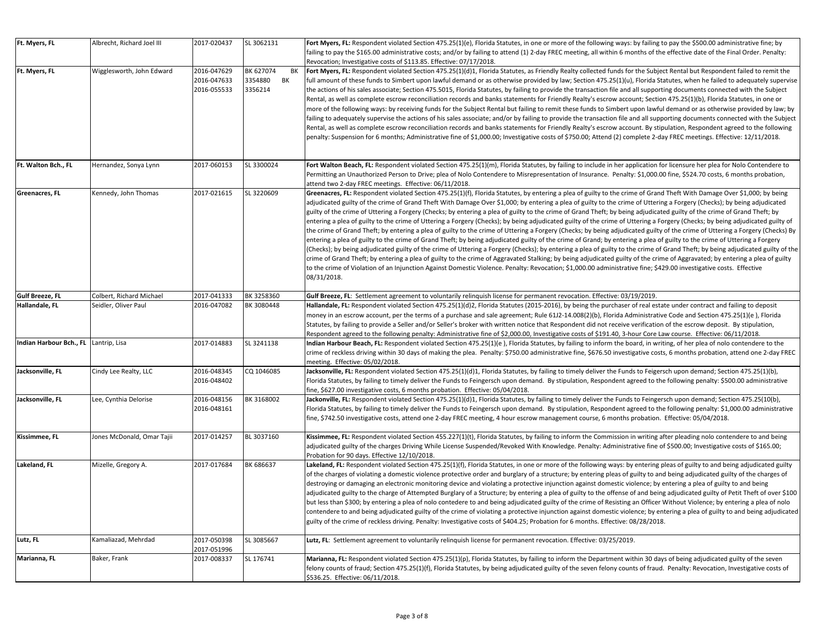| Ft. Myers, FL           | Albrecht, Richard Joel III | 2017-020437                               | SL 3062131                                  | Fort Myers, FL: Respondent violated Section 475.25(1)(e), Florida Statutes, in one or more of the following ways: by failing to pay the \$500.00 administrative fine; by<br>failing to pay the \$165.00 administrative costs; and/or by failing to attend (1) 2-day FREC meeting, all within 6 months of the effective date of the Final Order. Penalty:<br>Revocation; Investigative costs of \$113.85. Effective: 07/17/2018.                                                                                                                                                                                                                                                                                                                                                                                                                                                                                                                                                                                                                                                                                                                                                                                                                                                                                                                                                                                                                                                                                                                                                                                                       |
|-------------------------|----------------------------|-------------------------------------------|---------------------------------------------|---------------------------------------------------------------------------------------------------------------------------------------------------------------------------------------------------------------------------------------------------------------------------------------------------------------------------------------------------------------------------------------------------------------------------------------------------------------------------------------------------------------------------------------------------------------------------------------------------------------------------------------------------------------------------------------------------------------------------------------------------------------------------------------------------------------------------------------------------------------------------------------------------------------------------------------------------------------------------------------------------------------------------------------------------------------------------------------------------------------------------------------------------------------------------------------------------------------------------------------------------------------------------------------------------------------------------------------------------------------------------------------------------------------------------------------------------------------------------------------------------------------------------------------------------------------------------------------------------------------------------------------|
| Ft. Myers, FL           | Wigglesworth, John Edward  | 2016-047629<br>2016-047633<br>2016-055533 | BK 627074<br>BK<br>3354880<br>BK<br>3356214 | Fort Myers, FL: Respondent violated Section 475.25(1)(d)1, Florida Statutes, as Friendly Realty collected funds for the Subject Rental but Respondent failed to remit the<br>full amount of these funds to Simbert upon lawful demand or as otherwise provided by law; Section 475.25(1)(u), Florida Statutes, when he failed to adequately supervise<br>the actions of his sales associate; Section 475.5015, Florida Statutes, by failing to provide the transaction file and all supporting documents connected with the Subject<br>Rental, as well as complete escrow reconciliation records and banks statements for Friendly Realty's escrow account; Section 475.25(1)(b), Florida Statutes, in one or<br>more of the following ways: by receiving funds for the Subject Rental but failing to remit these funds to Simbert upon lawful demand or as otherwise provided by law; by<br>failing to adequately supervise the actions of his sales associate; and/or by failing to provide the transaction file and all supporting documents connected with the Subject<br>Rental, as well as complete escrow reconciliation records and banks statements for Friendly Realty's escrow account. By stipulation, Respondent agreed to the following<br>penalty: Suspension for 6 months; Administrative fine of \$1,000.00; Investigative costs of \$750.00; Attend (2) complete 2-day FREC meetings. Effective: 12/11/2018.                                                                                                                                                                                                        |
| Ft. Walton Bch., FL     | Hernandez, Sonya Lynn      | 2017-060153                               | SL 3300024                                  | Fort Walton Beach, FL: Respondent violated Section 475.25(1)(m), Florida Statutes, by failing to include in her application for licensure her plea for Nolo Contendere to<br>Permitting an Unauthorized Person to Drive; plea of Nolo Contendere to Misrepresentation of Insurance. Penalty: \$1,000.00 fine, \$524.70 costs, 6 months probation,<br>attend two 2-day FREC meetings. Effective: 06/11/2018.                                                                                                                                                                                                                                                                                                                                                                                                                                                                                                                                                                                                                                                                                                                                                                                                                                                                                                                                                                                                                                                                                                                                                                                                                           |
| Greenacres, FL          | Kennedy, John Thomas       | 2017-021615                               | SL 3220609                                  | Greenacres, FL: Respondent violated Section 475.25(1)(f), Florida Statutes, by entering a plea of guilty to the crime of Grand Theft With Damage Over \$1,000; by being<br>adjudicated guilty of the crime of Grand Theft With Damage Over \$1,000; by entering a plea of guilty to the crime of Uttering a Forgery (Checks); by being adjudicated<br>guilty of the crime of Uttering a Forgery (Checks; by entering a plea of guilty to the crime of Grand Theft; by being adjudicated guilty of the crime of Grand Theft; by<br>entering a plea of guilty to the crime of Uttering a Forgery (Checks); by being adjudicated guilty of the crime of Uttering a Forgery (Checks; by being adjudicated guilty of<br>the crime of Grand Theft; by entering a plea of guilty to the crime of Uttering a Forgery (Checks; by being adjudicated guilty of the crime of Uttering a Forgery (Checks) By<br>entering a plea of guilty to the crime of Grand Theft; by being adjudicated guilty of the crime of Grand; by entering a plea of guilty to the crime of Uttering a Forgery<br>(Checks); by being adjudicated guilty of the crime of Uttering a Forgery (Checks); by entering a plea of guilty to the crime of Grand Theft; by being adjudicated guilty of the<br>crime of Grand Theft; by entering a plea of guilty to the crime of Aggravated Stalking; by being adjudicated guilty of the crime of Aggravated; by entering a plea of guilty<br>to the crime of Violation of an Injunction Against Domestic Violence. Penalty: Revocation; \$1,000.00 administrative fine; \$429.00 investigative costs. Effective<br>08/31/2018. |
| <b>Gulf Breeze, FL</b>  | Colbert, Richard Michael   | 2017-041333                               | BK 3258360                                  | Gulf Breeze, FL: Settlement agreement to voluntarily relinquish license for permanent revocation. Effective: 03/19/2019.                                                                                                                                                                                                                                                                                                                                                                                                                                                                                                                                                                                                                                                                                                                                                                                                                                                                                                                                                                                                                                                                                                                                                                                                                                                                                                                                                                                                                                                                                                              |
| Hallandale, FL          | Seidler, Oliver Paul       | 2016-047082                               | BK 3080448                                  | Hallandale, FL: Respondent violated Section 475.25(1)(d)2, Florida Statutes (2015-2016), by being the purchaser of real estate under contract and failing to deposit<br>money in an escrow account, per the terms of a purchase and sale agreement; Rule 61J2-14.008(2)(b), Florida Administrative Code and Section 475.25(1)(e), Florida<br>Statutes, by failing to provide a Seller and/or Seller's broker with written notice that Respondent did not receive verification of the escrow deposit. By stipulation,<br>Respondent agreed to the following penalty: Administrative fine of \$2,000.00, Investigative costs of \$191.40, 3-hour Core Law course. Effective: 06/11/2018.                                                                                                                                                                                                                                                                                                                                                                                                                                                                                                                                                                                                                                                                                                                                                                                                                                                                                                                                                |
| Indian Harbour Bch., FL | Lantrip, Lisa              | 2017-014883                               | SL 3241138                                  | Indian Harbour Beach, FL: Respondent violated Section 475.25(1)(e), Florida Statutes, by failing to inform the board, in writing, of her plea of nolo contendere to the<br>crime of reckless driving within 30 days of making the plea. Penalty: \$750.00 administrative fine, \$676.50 investigative costs, 6 months probation, attend one 2-day FREC<br>meeting. Effective: 05/02/2018.                                                                                                                                                                                                                                                                                                                                                                                                                                                                                                                                                                                                                                                                                                                                                                                                                                                                                                                                                                                                                                                                                                                                                                                                                                             |
| Jacksonville, FL        | Cindy Lee Realty, LLC      | 2016-048345<br>2016-048402                | CQ 1046085                                  | Jacksonville, FL: Respondent violated Section 475.25(1)(d)1, Florida Statutes, by failing to timely deliver the Funds to Feigersch upon demand; Section 475.25(1)(b),<br>Florida Statutes, by failing to timely deliver the Funds to Feingersch upon demand. By stipulation, Respondent agreed to the following penalty: \$500.00 administrative<br>fine, \$627.00 investigative costs, 6 months probation. Effective: 05/04/2018.                                                                                                                                                                                                                                                                                                                                                                                                                                                                                                                                                                                                                                                                                                                                                                                                                                                                                                                                                                                                                                                                                                                                                                                                    |
| Jacksonville, FL        | Lee, Cynthia Delorise      | 2016-048156<br>2016-048161                | BK 3168002                                  | Jackonville, FL: Respondent violated Section 475.25(1)(d)1, Florida Statutes, by failing to timely deliver the Funds to Feingersch upon demand; Section 475.25(10(b),<br>Florida Statutes, by failing to timely deliver the Funds to Feingersch upon demand. By stipulation, Respondent agreed to the following penalty: \$1,000.00 administrative<br>fine, \$742.50 investigative costs, attend one 2-day FREC meeting, 4 hour escrow management course, 6 months probation. Effective: 05/04/2018.                                                                                                                                                                                                                                                                                                                                                                                                                                                                                                                                                                                                                                                                                                                                                                                                                                                                                                                                                                                                                                                                                                                                  |
| Kissimmee, FL           | Jones McDonald, Omar Tajii | 2017-014257                               | BL 3037160                                  | Kissimmee, FL: Respondent violated Section 455.227(1)(t), Florida Statutes, by failing to inform the Commission in writing after pleading nolo contendere to and being<br>adjudicated guilty of the charges Driving While License Suspended/Revoked With Knowledge. Penalty: Administrative fine of \$500.00; Investigative costs of \$165.00;<br>Probation for 90 days. Effective 12/10/2018.                                                                                                                                                                                                                                                                                                                                                                                                                                                                                                                                                                                                                                                                                                                                                                                                                                                                                                                                                                                                                                                                                                                                                                                                                                        |
| Lakeland, FL            | Mizelle, Gregory A.        | 2017-017684                               | BK 686637                                   | Lakeland, FL: Respondent violated Section 475.25(1)(f), Florida Statutes, in one or more of the following ways: by entering pleas of guilty to and being adjudicated guilty<br>of the charges of violating a domestic violence protective order and burglary of a structure; by entering pleas of guilty to and being adjudicated guilty of the charges of<br>destroying or damaging an electronic monitoring device and violating a protective injunction against domestic violence; by entering a plea of guilty to and being<br>adjudicated guilty to the charge of Attempted Burglary of a Structure; by entering a plea of guilty to the offense of and being adjudicated guilty of Petit Theft of over \$100<br>but less than \$300; by entering a plea of nolo contedere to and being adjudicated guilty of the crime of Resisting an Officer Without Violence; by entering a plea of nolo<br>contendere to and being adjudicated guilty of the crime of violating a protective injunction against domestic violence; by entering a plea of guilty to and being adjudicated<br>guilty of the crime of reckless driving. Penalty: Investigative costs of \$404.25; Probation for 6 months. Effective: 08/28/2018.                                                                                                                                                                                                                                                                                                                                                                                                               |
| Lutz, FL                | Kamaliazad, Mehrdad        | 2017-050398<br>2017-051996                | SL 3085667                                  | Lutz, FL: Settlement agreement to voluntarily relinquish license for permanent revocation. Effective: 03/25/2019.                                                                                                                                                                                                                                                                                                                                                                                                                                                                                                                                                                                                                                                                                                                                                                                                                                                                                                                                                                                                                                                                                                                                                                                                                                                                                                                                                                                                                                                                                                                     |
| Marianna, FL            | Baker, Frank               | 2017-008337                               | SL 176741                                   | Marianna, FL: Respondent violated Section 475.25(1)(p), Florida Statutes, by failing to inform the Department within 30 days of being adjudicated guilty of the seven<br>felony counts of fraud; Section 475.25(1)(f), Florida Statutes, by being adjudicated guilty of the seven felony counts of fraud. Penalty: Revocation, Investigative costs of<br>\$536.25. Effective: 06/11/2018.                                                                                                                                                                                                                                                                                                                                                                                                                                                                                                                                                                                                                                                                                                                                                                                                                                                                                                                                                                                                                                                                                                                                                                                                                                             |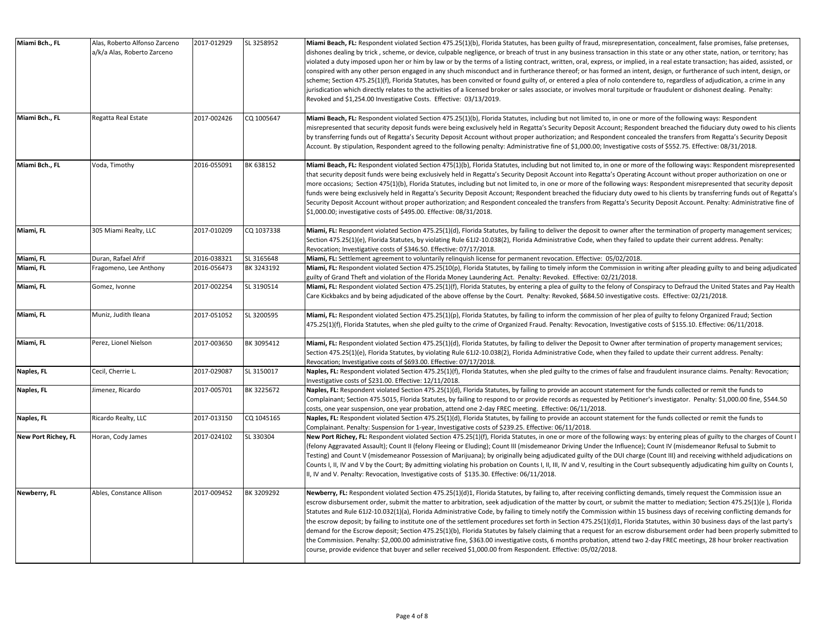| Miami Bch., FL      | Alas, Roberto Alfonso Zarceno<br>a/k/a Alas, Roberto Zarceno | 2017-012929 | SL 3258952 | Miami Beach, FL: Respondent violated Section 475.25(1)(b), Florida Statutes, has been guilty of fraud, misrepresentation, concealment, false promises, false pretenses,<br>dishones dealing by trick, scheme, or device, culpable negligence, or breach of trust in any business transaction in this state or any other state, nation, or territory; has<br>violated a duty imposed upon her or him by law or by the terms of a listing contract, written, oral, express, or implied, in a real estate transaction; has aided, assisted, or<br>conspired with any other person engaged in any shuch misconduct and in furtherance thereof; or has formed an intent, design, or furtherance of such intent, design, or<br>scheme; Section 475.25(1)(f), Florida Statutes, has been convited or found guilty of, or entered a plea of nolo contendere to, regardless of adjudication, a crime in any<br>jurisdication which directly relates to the activities of a licensed broker or sales associate, or involves moral turpitude or fraudulent or dishonest dealing. Penalty:<br>Revoked and \$1,254.00 Investigative Costs. Effective: 03/13/2019.                                |
|---------------------|--------------------------------------------------------------|-------------|------------|-------------------------------------------------------------------------------------------------------------------------------------------------------------------------------------------------------------------------------------------------------------------------------------------------------------------------------------------------------------------------------------------------------------------------------------------------------------------------------------------------------------------------------------------------------------------------------------------------------------------------------------------------------------------------------------------------------------------------------------------------------------------------------------------------------------------------------------------------------------------------------------------------------------------------------------------------------------------------------------------------------------------------------------------------------------------------------------------------------------------------------------------------------------------------------------|
| Miami Bch., FL      | Regatta Real Estate                                          | 2017-002426 | CQ 1005647 | Miami Beach, FL: Respondent violated Section 475.25(1)(b), Florida Statutes, including but not limited to, in one or more of the following ways: Respondent<br>misrepresented that security deposit funds were being exclusively held in Regatta's Security Deposit Account; Respondent breached the fiduciary duty owed to his clients<br>by transferring funds out of Regatta's Security Deposit Account without proper authorization; and Respondent concealed the transfers from Regatta's Security Deposit<br>Account. By stipulation, Respondent agreed to the following penalty: Administrative fine of \$1,000.00; Investigative costs of \$552.75. Effective: 08/31/2018.                                                                                                                                                                                                                                                                                                                                                                                                                                                                                                  |
| Miami Bch., FL      | Voda, Timothy                                                | 2016-055091 | BK 638152  | Miami Beach, FL: Respondent violated Section 475(1)(b), Florida Statutes, including but not limited to, in one or more of the following ways: Respondent misrepresented<br>that security deposit funds were being exclusively held in Regatta's Security Deposit Account into Regatta's Operating Account without proper authorization on one or<br>more occasions; Section 475(1)(b), Florida Statutes, including but not limited to, in one or more of the following ways: Respondent misrepresented that security deposit<br>funds were being exclusively held in Regatta's Security Deposit Account; Respondent breached the fiduciary duty owed to his clients by transferring funds out of Regatta's<br>Security Deposit Account without proper authorization; and Respondent concealed the transfers from Regatta's Security Deposit Account. Penalty: Administrative fine of<br>\$1,000.00; investigative costs of \$495.00. Effective: 08/31/2018.                                                                                                                                                                                                                         |
| Miami, FL           | 305 Miami Realty, LLC                                        | 2017-010209 | CQ 1037338 | Miami, FL: Respondent violated Section 475.25(1)(d), Florida Statutes, by failing to deliver the deposit to owner after the termination of property management services;<br>Section 475.25(1)(e), Florida Statutes, by violating Rule 61J2-10.038(2), Florida Administrative Code, when they failed to update their current address. Penalty:<br>Revocation; Investigative costs of \$346.50. Effective: 07/17/2018.                                                                                                                                                                                                                                                                                                                                                                                                                                                                                                                                                                                                                                                                                                                                                                |
| Miami, FL           | Duran, Rafael Afrif                                          | 2016-038321 | SL 3165648 | Miami, FL: Settlement agreement to voluntarily relinquish license for permanent revocation. Effective: 05/02/2018.                                                                                                                                                                                                                                                                                                                                                                                                                                                                                                                                                                                                                                                                                                                                                                                                                                                                                                                                                                                                                                                                  |
| Miami, FL           | Fragomeno, Lee Anthony                                       | 2016-056473 | BK 3243192 | Miami, FL: Respondent violated Section 475.25(10(p), Florida Statutes, by failing to timely inform the Commission in writing after pleading guilty to and being adjudicated<br>guilty of Grand Theft and violation of the Florida Money Laundering Act. Penalty: Revoked. Effective: 02/21/2018.                                                                                                                                                                                                                                                                                                                                                                                                                                                                                                                                                                                                                                                                                                                                                                                                                                                                                    |
| Miami, FL           | Gomez, Ivonne                                                | 2017-002254 | SL 3190514 | Miami, FL: Respondent violated Section 475.25(1)(f), Florida Statutes, by entering a plea of guilty to the felony of Conspiracy to Defraud the United States and Pay Health<br>Care Kickbakcs and by being adjudicated of the above offense by the Court. Penalty: Revoked, \$684.50 investigative costs. Effective: 02/21/2018.                                                                                                                                                                                                                                                                                                                                                                                                                                                                                                                                                                                                                                                                                                                                                                                                                                                    |
| Miami, FL           | Muniz, Judith Ileana                                         | 2017-051052 | SL 3200595 | Miami, FL: Respondent violated Section 475.25(1)(p), Florida Statutes, by failing to inform the commission of her plea of guilty to felony Organized Fraud; Section<br>475.25(1)(f), Florida Statutes, when she pled guilty to the crime of Organized Fraud. Penalty: Revocation, Investigative costs of \$155.10. Effective: 06/11/2018.                                                                                                                                                                                                                                                                                                                                                                                                                                                                                                                                                                                                                                                                                                                                                                                                                                           |
| Miami, FL           | Perez, Lionel Nielson                                        | 2017-003650 | BK 3095412 | Miami, FL: Respondent violated Section 475.25(1)(d), Florida Statutes, by failing to deliver the Deposit to Owner after termination of property management services;<br>Section 475.25(1)(e), Florida Statutes, by violating Rule 61J2-10.038(2), Florida Administrative Code, when they failed to update their current address. Penalty:<br>Revocation; Investigative costs of \$693.00. Effective: 07/17/2018.                                                                                                                                                                                                                                                                                                                                                                                                                                                                                                                                                                                                                                                                                                                                                                    |
| Naples, FL          | Cecil, Cherrie L.                                            | 2017-029087 | SL 3150017 | Naples, FL: Respondent violated Section 475.25(1)(f), Florida Statutes, when she pled guilty to the crimes of false and fraudulent insurance claims. Penalty: Revocation;<br>Investigative costs of \$231.00. Effective: 12/11/2018.                                                                                                                                                                                                                                                                                                                                                                                                                                                                                                                                                                                                                                                                                                                                                                                                                                                                                                                                                |
| Naples, FL          | Jimenez, Ricardo                                             | 2017-005701 | BK 3225672 | Naples, FL: Respondent violated Section 475.25(1)(d), Florida Statutes, by failing to provide an account statement for the funds collected or remit the funds to<br>Complainant; Section 475.5015, Florida Statutes, by failing to respond to or provide records as requested by Petitioner's investigator. Penalty: \$1,000.00 fine, \$544.50<br>costs, one year suspension, one year probation, attend one 2-day FREC meeting. Effective: 06/11/2018.                                                                                                                                                                                                                                                                                                                                                                                                                                                                                                                                                                                                                                                                                                                             |
| Naples, FL          | Ricardo Realty, LLC                                          | 2017-013150 | CQ 1045165 | Naples, FL: Respondent violated Section 475.25(1)(d), Florida Statutes, by failing to provide an account statement for the funds collected or remit the funds to<br>Complainant. Penalty: Suspension for 1-year, Investigative costs of \$239.25. Effective: 06/11/2018.                                                                                                                                                                                                                                                                                                                                                                                                                                                                                                                                                                                                                                                                                                                                                                                                                                                                                                            |
| New Port Richey, FL | Horan, Cody James                                            | 2017-024102 | SL 330304  | New Port Richey, FL: Respondent violated Section 475.25(1)(f), Florida Statutes, in one or more of the following ways: by entering pleas of guilty to the charges of Count I<br>(felony Aggravated Assault); Count II (felony Fleeing or Eluding); Count III (misdemeanor Driving Under the Influence); Count IV (misdemeanor Refusal to Submit to<br>Testing) and Count V (misdemeanor Possession of Marijuana); by originally being adjudicated guilty of the DUI charge (Count III) and receiving withheld adjudications on<br>Counts I, II, IV and V by the Court; By admitting violating his probation on Counts I, II, III, IV and V, resulting in the Court subsequently adjudicating him guilty on Counts I,<br>II, IV and V. Penalty: Revocation, Investigative costs of \$135.30. Effective: 06/11/2018.                                                                                                                                                                                                                                                                                                                                                                  |
| Newberry, FL        | Ables, Constance Allison                                     | 2017-009452 | BK 3209292 | Newberry, FL: Respondent violated Section 475.25(1)(d)1, Florida Statutes, by failing to, after receiving conflicting demands, timely request the Commission issue an<br>escrow disbursement order, submit the matter to arbitration, seek adjudication of the matter by court, or submit the matter to mediation; Section 475.25(1)(e), Florida<br>Statutes and Rule 61J2-10.032(1)(a), Florida Administrative Code, by failing to timely notify the Commission within 15 business days of receiving conflicting demands for<br>the escrow deposit; by failing to institute one of the settlement procedures set forth in Section 475.25(1)(d)1, Florida Statutes, within 30 business days of the last party's<br>demand for the Escrow deposit; Section 475.25(1)(b), Florida Statutes by falsely claiming that a request for an escrow disbursement order had been properly submitted to<br>the Commission. Penalty: \$2,000.00 administrative fine, \$363.00 investigative costs, 6 months probation, attend two 2-day FREC meetings, 28 hour broker reactivation<br>course, provide evidence that buyer and seller received \$1,000.00 from Respondent. Effective: 05/02/2018. |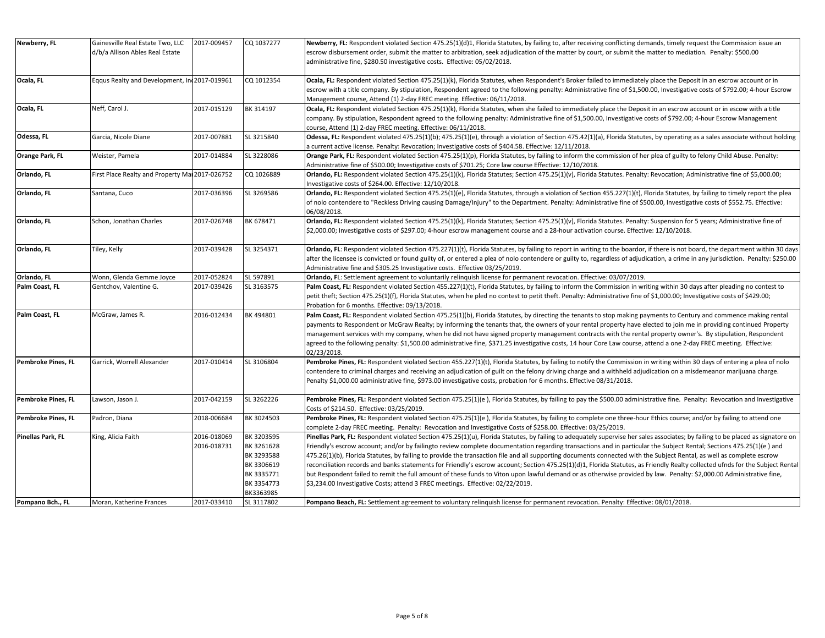| Newberry, FL       | Gainesville Real Estate Two, LLC                | 2017-009457 | CQ 1037277 | Newberry, FL: Respondent violated Section 475.25(1)(d)1, Florida Statutes, by failing to, after receiving conflicting demands, timely request the Commission issue an             |
|--------------------|-------------------------------------------------|-------------|------------|-----------------------------------------------------------------------------------------------------------------------------------------------------------------------------------|
|                    | d/b/a Allison Ables Real Estate                 |             |            | escrow disbursement order, submit the matter to arbitration, seek adjudication of the matter by court, or submit the matter to mediation. Penalty: \$500.00                       |
|                    |                                                 |             |            |                                                                                                                                                                                   |
|                    |                                                 |             |            | administrative fine, \$280.50 investigative costs. Effective: 05/02/2018.                                                                                                         |
| Ocala, FL          | Eqqus Realty and Development, In 2017-019961    |             | CQ 1012354 | Ocala, FL: Respondent violated Section 475.25(1)(k), Florida Statutes, when Respondent's Broker failed to immediately place the Deposit in an escrow account or in                |
|                    |                                                 |             |            | escrow with a title company. By stipulation, Respondent agreed to the following penalty: Administrative fine of \$1,500.00, Investigative costs of \$792.00; 4-hour Escrow        |
|                    |                                                 |             |            |                                                                                                                                                                                   |
|                    |                                                 |             |            | Management course, Attend (1) 2-day FREC meeting. Effective: 06/11/2018.                                                                                                          |
| Ocala, FL          | Neff, Carol J.                                  | 2017-015129 | BK 314197  | Ocala, FL: Respondent violated Section 475.25(1)(k), Florida Statutes, when she failed to immediately place the Deposit in an escrow account or in escow with a title             |
|                    |                                                 |             |            | company. By stipulation, Respondent agreed to the following penalty: Administrative fine of \$1,500.00, Investigative costs of \$792.00; 4-hour Escrow Management                 |
|                    |                                                 |             |            | course, Attend (1) 2-day FREC meeting. Effective: 06/11/2018.                                                                                                                     |
| Odessa, FL         | Garcia, Nicole Diane                            | 2017-007881 | SL 3215840 | Odessa, FL: Respondent violated 475.25(1)(b); 475.25(1)(e), through a violation of Section 475.42(1)(a), Florida Statutes, by operating as a sales associate without holding      |
|                    |                                                 |             |            | a current active license. Penalty: Revocation; Investigative costs of \$404.58. Effective: 12/11/2018.                                                                            |
| Orange Park, FL    | Weister, Pamela                                 | 2017-014884 | SL 3228086 | Orange Park, FL: Respondent violated Section 475.25(1)(p), Florida Statutes, by failing to inform the commission of her plea of guilty to felony Child Abuse. Penalty:            |
|                    |                                                 |             |            | Administrative fine of \$500.00; Investigative costs of \$701.25; Core law course Effective: 12/10/2018.                                                                          |
| Orlando, FL        | First Place Realty and Property Mai 2017-026752 |             | CQ 1026889 | Orlando, FL: Respondent violated Section 475.25(1)(k), Florida Statutes; Section 475.25(1)(v), Florida Statutes. Penalty: Revocation; Administrative fine of \$5,000.00;          |
|                    |                                                 |             |            | Investigative costs of \$264.00. Effective: 12/10/2018.                                                                                                                           |
| Orlando, FL        | Santana, Cuco                                   | 2017-036396 | SL 3269586 | Orlando, FL: Respondent violated Section 475.25(1)(e), Florida Statutes, through a violation of Section 455.227(1)(t), Florida Statutes, by failing to timely report the plea     |
|                    |                                                 |             |            | of nolo contendere to "Reckless Driving causing Damage/Injury" to the Department. Penalty: Administrative fine of \$500.00, Investigative costs of \$552.75. Effective:           |
|                    |                                                 |             |            | 06/08/2018.                                                                                                                                                                       |
| Orlando, FL        | Schon, Jonathan Charles                         | 2017-026748 | BK 678471  | Orlando, FL: Respondent violated Section 475.25(1)(k), Florida Statutes; Section 475.25(1)(v), Florida Statutes. Penalty: Suspension for 5 years; Administrative fine of          |
|                    |                                                 |             |            | \$2,000.00; Investigative costs of \$297.00; 4-hour escrow management course and a 28-hour activation course. Effective: 12/10/2018.                                              |
|                    |                                                 |             |            |                                                                                                                                                                                   |
| Orlando, FL        | Tiley, Kelly                                    | 2017-039428 | SL 3254371 | Orlando, FL: Respondent violated Section 475.227(1)(t), Florida Statutes, by failing to report in writing to the boardor, if there is not board, the department within 30 days    |
|                    |                                                 |             |            | after the licensee is convicted or found guilty of, or entered a plea of nolo contendere or guilty to, regardless of adjudication, a crime in any jurisdiction. Penalty: \$250.00 |
|                    |                                                 |             |            | Administrative fine and \$305.25 Investigative costs. Effective 03/25/2019.                                                                                                       |
| Orlando, FL        | Wonn, Glenda Gemme Joyce                        | 2017-052824 | SL 597891  | Orlando, FL: Settlement agreement to voluntarily relinguish license for permanent revocation. Effective: 03/07/2019.                                                              |
|                    |                                                 |             | SL 3163575 |                                                                                                                                                                                   |
| Palm Coast, FL     | Gentchov, Valentine G.                          | 2017-039426 |            | Palm Coast, FL: Respondent violated Section 455.227(1)(t), Florida Statutes, by failing to inform the Commission in writing within 30 days after pleading no contest to           |
|                    |                                                 |             |            | petit theft; Section 475.25(1)(f), Florida Statutes, when he pled no contest to petit theft. Penalty: Administrative fine of \$1,000.00; Investigative costs of \$429.00;         |
|                    |                                                 |             |            | Probation for 6 months. Effective: 09/13/2018.                                                                                                                                    |
| Palm Coast, FL     | McGraw, James R.                                | 2016-012434 | BK 494801  | Palm Coast, FL: Respondent violated Section 475.25(1)(b), Florida Statutes, by directing the tenants to stop making payments to Century and commence making rental                |
|                    |                                                 |             |            | payments to Respondent or McGraw Realty; by informing the tenants that, the owners of your rental property have elected to join me in providing continued Property                |
|                    |                                                 |             |            | management services with my company, when he did not have signed property management contracts with the rental property owner's. By stipulation, Respondent                       |
|                    |                                                 |             |            | agreed to the following penalty: \$1,500.00 administrative fine, \$371.25 investigative costs, 14 hour Core Law course, attend a one 2-day FREC meeting. Effective:               |
|                    |                                                 |             |            | 02/23/2018.                                                                                                                                                                       |
| Pembroke Pines, FL | Garrick, Worrell Alexander                      | 2017-010414 | SL 3106804 | Pembroke Pines, FL: Respondent violated Section 455.227(1)(t), Florida Statutes, by failing to notify the Commission in writing within 30 days of entering a plea of nolo         |
|                    |                                                 |             |            | contendere to criminal charges and receiving an adjudication of guilt on the felony driving charge and a withheld adjudication on a misdemeanor marijuana charge.                 |
|                    |                                                 |             |            | Penalty \$1,000.00 administrative fine, \$973.00 investigative costs, probation for 6 months. Effective 08/31/2018.                                                               |
|                    |                                                 |             |            |                                                                                                                                                                                   |
| Pembroke Pines, FL | Lawson, Jason J.                                | 2017-042159 | SL 3262226 | Pembroke Pines, FL: Respondent violated Section 475.25(1)(e), Florida Statutes, by failing to pay the \$500.00 administrative fine. Penalty: Revocation and Investigative         |
|                    |                                                 |             |            | Costs of \$214.50. Effective: 03/25/2019.                                                                                                                                         |
| Pembroke Pines, FL | Padron, Diana                                   | 2018-006684 | BK 3024503 | Pembroke Pines, FL: Respondent violated Section 475.25(1)(e), Florida Statutes, by failing to complete one three-hour Ethics course; and/or by failing to attend one              |
|                    |                                                 |             |            | complete 2-day FREC meeting. Penalty: Revocation and Investigative Costs of \$258.00. Effective: 03/25/2019.                                                                      |
| Pinellas Park, FL  | King, Alicia Faith                              | 2016-018069 | BK 3203595 | Pinellas Park, FL: Respondent violated Section 475.25(1)(u), Florida Statutes, by failing to adequately supervise her sales associates; by failing to be placed as signatore on   |
|                    |                                                 | 2016-018731 | BK 3261628 | Friendly's escrow account; and/or by failingto review complete documentation regarding transactions and in particular the Subject Rental; Sections 475.25(1)(e) and               |
|                    |                                                 |             | BK 3293588 | 475.26(1)(b), Florida Statutes, by failing to provide the transaction file and all supporting documents connected with the Subject Rental, as well as complete escrow             |
|                    |                                                 |             | BK 3306619 | reconciliation records and banks statements for Friendly's escrow account; Section 475.25(1)(d)1, Florida Statutes, as Friendly Realty collected ufnds for the Subject Rental     |
|                    |                                                 |             | BK 3335771 | but Respondent failed to remit the full amount of these funds to Viton upon lawful demand or as otherwise provided by law. Penalty: \$2,000.00 Administrative fine,               |
|                    |                                                 |             |            |                                                                                                                                                                                   |
|                    |                                                 |             | BK 3354773 | \$3,234.00 Investigative Costs; attend 3 FREC meetings. Effective: 02/22/2019.                                                                                                    |
|                    |                                                 |             | BK3363985  |                                                                                                                                                                                   |
| Pompano Bch., FL   | Moran, Katherine Frances                        | 2017-033410 | SL 3117802 | Pompano Beach, FL: Settlement agreement to voluntary relinguish license for permanent revocation. Penalty: Effective: 08/01/2018.                                                 |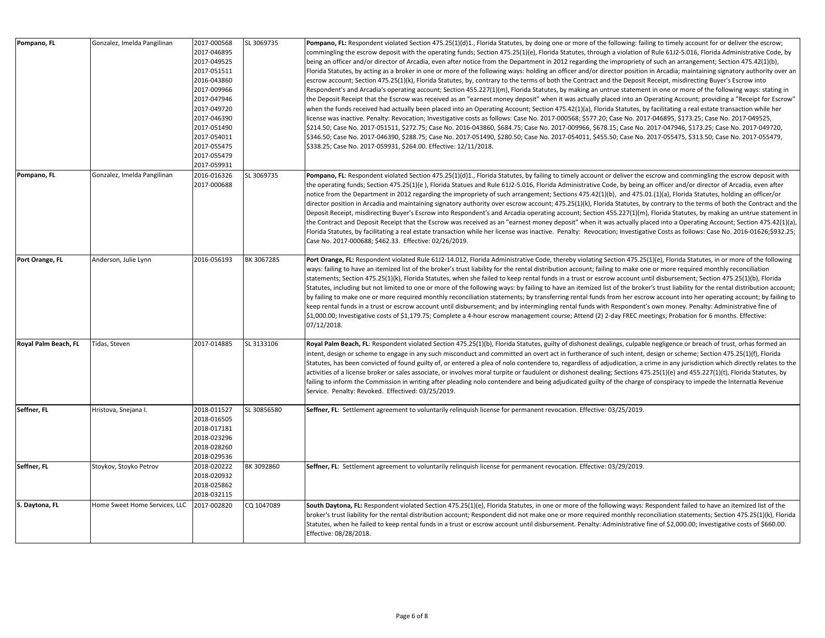| Pompano, FL          | Gonzalez, Imelda Pangilinan   | 2017-000568<br>2017-046895<br>2017-049525<br>2017-051511<br>2016-043860<br>2017-009966<br>2017-047946<br>2017-049720<br>2017-046390<br>2017-051490<br>2017-054011<br>2017-055475<br>2017-055479<br>2017-059931 | SL 3069735  | Pompano, FL: Respondent violated Section 475.25(1)(d)1., Florida Statutes, by doing one or more of the following: failing to timely account for or deliver the escrow;<br>commingling the escrow deposit with the operating funds; Section 475.25(1)(e), Florida Statutes, through a violation of Rule 61J2-5.016, Florida Administrative Code, by<br>being an officer and/or director of Arcadia, even after notice from the Department in 2012 regarding the impropriety of such an arrangement; Section 475.42(1)(b),<br>Florida Statutes, by acting as a broker in one or more of the following ways: holding an officer and/or director position in Arcadia; maintaining signatory authority over an<br>escrow account; Section 475.25(1)(k), Florida Statutes, by, contrary to the terms of both the Contract and the Deposit Receipt, misdirecting Buyer's Escrow into<br>Respondent's and Arcadia's operating account; Section 455.227(1)(m), Florida Statutes, by making an untrue statement in one or more of the following ways: stating in<br>the Deposit Receipt that the Escrow was received as an "earnest money deposit" when it was actually placed into an Operating Account; providing a "Receipt for Escrow"<br>when the funds received had actually been placed into an Operating Account; Section 475.42(1)(a), Florida Statutes, by facilitating a real estate transaction while her<br>license was inactive. Penalty: Revocation; Investigative costs as follows: Case No. 2017-000568; \$577.20; Case No. 2017-046895, \$173.25; Case No. 2017-049525,<br>\$214.50; Case No. 2017-051511, \$272.75; Case No. 2016-043860, \$684.75; Case No. 2017-009966, \$678.15; Case No. 2017-047946, \$173.25; Case No. 2017-049720,<br>\$346.50; Case No. 2017-046390, \$288.75; Case No. 2017-051490, \$280.50; Case No. 2017-054011, \$455.50; Case No. 2017-055475, \$313.50; Case No. 2017-055479,<br>\$338.25; Case No. 2017-059931, \$264.00. Effective: 12/11/2018. |
|----------------------|-------------------------------|----------------------------------------------------------------------------------------------------------------------------------------------------------------------------------------------------------------|-------------|-------------------------------------------------------------------------------------------------------------------------------------------------------------------------------------------------------------------------------------------------------------------------------------------------------------------------------------------------------------------------------------------------------------------------------------------------------------------------------------------------------------------------------------------------------------------------------------------------------------------------------------------------------------------------------------------------------------------------------------------------------------------------------------------------------------------------------------------------------------------------------------------------------------------------------------------------------------------------------------------------------------------------------------------------------------------------------------------------------------------------------------------------------------------------------------------------------------------------------------------------------------------------------------------------------------------------------------------------------------------------------------------------------------------------------------------------------------------------------------------------------------------------------------------------------------------------------------------------------------------------------------------------------------------------------------------------------------------------------------------------------------------------------------------------------------------------------------------------------------------------------------------------------------------------------------------------------------------------------------------|
| Pompano, FL          | Gonzalez, Imelda Pangilinan   | 2016-016326<br>2017-000688                                                                                                                                                                                     | SL 3069735  | Pompano, FL: Respondent violated Section 475.25(1)(d)1., Florida Statutes, by failing to timely account or deliver the escrow and commingling the escrow deposit with<br>the operating funds; Section 475.25(1)(e), Florida Statues and Rule 61J2-5.016, Florida Administrative Code, by being an officer and/or director of Arcadia, even after<br>notice from the Department in 2012 regarding the impropriety of such arrangement; Sections 475.42(1)(b), and 475.01.(1)(a), Florida Statutes, holding an officer/or<br>director position in Arcadia and maintaining signatory authority over escrow account; 475.25(1)(k), Florida Statutes, by contrary to the terms of both the Contract and the<br>Deposit Receipt, misdirecting Buyer's Escrow into Respondent's and Arcadia operating account; Section 455.227(1)(m), Florida Statutes, by making an untrue statement in<br>the Contract and Deposit Receipt that the Escrow was received as an "earnest money deposit" when it was actually placed into a Operating Account; Section 475.42(1)(a),<br>Florida Statutes, by facilitating a real estate transaction while her license was inactive. Penalty: Revocation; Investigative Costs as follows: Case No. 2016-01626;\$932.25;<br>Case No. 2017-000688; \$462.33. Effective: 02/26/2019.                                                                                                                                                                                                                                                                                                                                                                                                                                                                                                                                                                                                                                                                                  |
| Port Orange, FL      | Anderson, Julie Lynn          | 2016-056193                                                                                                                                                                                                    | BK 3067285  | Port Orange, FL: Respondent violated Rule 6112-14.012, Florida Administrative Code, thereby violating Section 475.25(1)(e), Florida Statutes, in or more of the following<br>ways: failing to have an itemized list of the broker's trust liability for the rental distribution account; failing to make one or more required monthly reconciliation<br>statements; Section 475.25(1)(k), Florida Statutes, when she failed to keep rental funds in a trust or escrow account until disbursement; Section 475.25(1)(b), Florida<br>Statutes, including but not limited to one or more of the following ways: by failing to have an itemized list of the broker's trust liability for the rental distribution account;<br>by failing to make one or more required monthly reconciliation statements; by transferring rental funds from her escrow account into her operating account; by failing to<br>keep rental funds in a trust or escrow account until disbursement; and by intermingling rental funds with Respondent's own money. Penalty: Administrative fine of<br>\$1,000.00; Investigative costs of \$1,179.75; Complete a 4-hour escrow management course; Attend (2) 2-day FREC meetings; Probation for 6 months. Effective:<br>07/12/2018.                                                                                                                                                                                                                                                                                                                                                                                                                                                                                                                                                                                                                                                                                                                                   |
| Royal Palm Beach, FL | Tidas, Steven                 | 2017-014885                                                                                                                                                                                                    | SL 3133106  | Royal Palm Beach, FL: Respondent violated Section 475.25(1)(b), Florida Statutes, guilty of dishonest dealings, culpable negligence or breach of trust, orhas formed an<br>intent, design or scheme to engage in any such misconduct and committed an overt act in furtherance of such intent, design or scheme; Section 475.25(1)(f), Florida<br>Statutes, has been convicted of found guilty of, or entered a plea of nolo contendere to, regardless of adjudication, a crime in any jurisdiction which directly relates to the<br>activities of a license broker or sales associate, or involves moral turpite or faudulent or dishonest dealing; Sections 475.25(1)(e) and 455.227(1)(t), Florida Statutes, by<br>failing to inform the Commission in writing after pleading nolo contendere and being adjudicated guilty of the charge of conspiracy to impede the Internatla Revenue<br>Service. Penalty: Revoked. Effectived: 03/25/2019.                                                                                                                                                                                                                                                                                                                                                                                                                                                                                                                                                                                                                                                                                                                                                                                                                                                                                                                                                                                                                                          |
| Seffner, FL          | Hristova, Snejana I.          | 2018-011527<br>2018-016505<br>2018-017181<br>2018-023296<br>2018-028260<br>2018-029536                                                                                                                         | SL 30856580 | Seffner, FL: Settlement agreement to voluntarily relinquish license for permanent revocation. Effective: 03/25/2019.                                                                                                                                                                                                                                                                                                                                                                                                                                                                                                                                                                                                                                                                                                                                                                                                                                                                                                                                                                                                                                                                                                                                                                                                                                                                                                                                                                                                                                                                                                                                                                                                                                                                                                                                                                                                                                                                      |
| Seffner, FL          | Stoykov, Stoyko Petrov        | 2018-020222<br>2018-020932<br>2018-025862<br>2018-032115                                                                                                                                                       | BK 3092860  | Seffner, FL: Settlement agreement to voluntarily relinquish license for permanent revocation. Effective: 03/29/2019.                                                                                                                                                                                                                                                                                                                                                                                                                                                                                                                                                                                                                                                                                                                                                                                                                                                                                                                                                                                                                                                                                                                                                                                                                                                                                                                                                                                                                                                                                                                                                                                                                                                                                                                                                                                                                                                                      |
| S. Daytona, FL       | Home Sweet Home Services, LLC | 2017-002820                                                                                                                                                                                                    | CQ 1047089  | South Daytona, FL: Respondent violated Section 475.25(1)(e), Florida Statutes, in one or more of the following ways: Respondent failed to have an itemized list of the<br>broker's trust liability for the rental distribution account; Respondent did not make one or more required monthly reconciliation statements; Section 475.25(1)(k), Florida<br>Statutes, when he failed to keep rental funds in a trust or escrow account until disbursement. Penalty: Administrative fine of \$2,000.00; Investigative costs of \$660.00.<br>Effective: 08/28/2018.                                                                                                                                                                                                                                                                                                                                                                                                                                                                                                                                                                                                                                                                                                                                                                                                                                                                                                                                                                                                                                                                                                                                                                                                                                                                                                                                                                                                                            |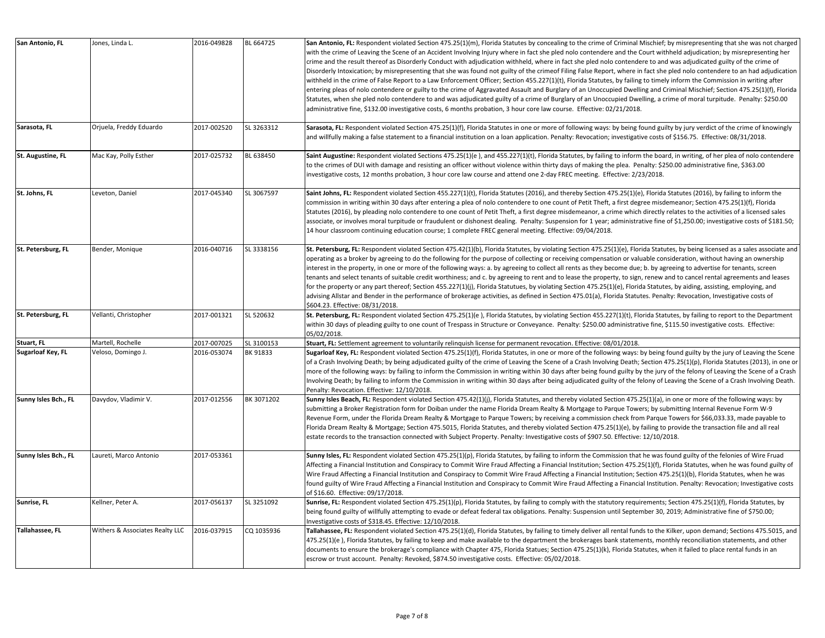| San Antonio, FL      | Jones, Linda L.                 | 2016-049828 | BL 664725  | San Antonio, FL: Respondent violated Section 475.25(1)(m), Florida Statutes by concealing to the crime of Criminal Mischief; by misrepresenting that she was not charged<br>with the crime of Leaving the Scene of an Accident Involving Injury where in fact she pled nolo contendere and the Court withheld adjudication; by misrepresenting her<br>crime and the result thereof as Disorderly Conduct with adjudication withheld, where in fact she pled nolo contendere to and was adjudicated guilty of the crime of<br>Disorderly Intoxication; by misrepresenting that she was found not guilty of the crimeof Filing False Report, where in fact she pled nolo contendere to an had adjudication<br>withheld in the crime of False Report to a Law Enforcement Officer; Section 455.227(1)(t), Florida Statutes, by failing to timely inform the Commission in writing after<br>entering pleas of nolo contendere or guilty to the crime of Aggravated Assault and Burglary of an Unoccupied Dwelling and Criminal Mischief; Section 475.25(1)(f), Florida<br>Statutes, when she pled nolo contendere to and was adjudicated guilty of a crime of Burglary of an Unoccupied Dwelling, a crime of moral turpitude. Penalty: \$250.00<br>administrative fine, \$132.00 investigative costs, 6 months probation, 3 hour core law course. Effective: 02/21/2018. |
|----------------------|---------------------------------|-------------|------------|----------------------------------------------------------------------------------------------------------------------------------------------------------------------------------------------------------------------------------------------------------------------------------------------------------------------------------------------------------------------------------------------------------------------------------------------------------------------------------------------------------------------------------------------------------------------------------------------------------------------------------------------------------------------------------------------------------------------------------------------------------------------------------------------------------------------------------------------------------------------------------------------------------------------------------------------------------------------------------------------------------------------------------------------------------------------------------------------------------------------------------------------------------------------------------------------------------------------------------------------------------------------------------------------------------------------------------------------------------------------|
| Sarasota, FL         | Orjuela, Freddy Eduardo         | 2017-002520 | SL 3263312 | Sarasota, FL: Respondent violated Section 475.25(1)(f), Florida Statutes in one or more of following ways: by being found guilty by jury verdict of the crime of knowingly<br>and willfully making a false statement to a financial institution on a loan application. Penalty: Revocation; investigative costs of \$156.75. Effective: 08/31/2018.                                                                                                                                                                                                                                                                                                                                                                                                                                                                                                                                                                                                                                                                                                                                                                                                                                                                                                                                                                                                                  |
| St. Augustine, FL    | Mac Kay, Polly Esther           | 2017-025732 | BL 638450  | Saint Augustine: Respondent violated Sections 475.25(1)(e), and 455.227(1)(t), Florida Statutes, by failing to inform the board, in writing, of her plea of nolo contendere<br>to the crimes of DUI with damage and resisting an officer without violence within thirty days of making the plea. Penalty: \$250.00 administrative fine, \$363.00<br>investigative costs, 12 months probation, 3 hour core law course and attend one 2-day FREC meeting. Effective: 2/23/2018.                                                                                                                                                                                                                                                                                                                                                                                                                                                                                                                                                                                                                                                                                                                                                                                                                                                                                        |
| St. Johns, FL        | Leveton, Daniel                 | 2017-045340 | SL 3067597 | Saint Johns, FL: Respondent violated Section 455.227(1)(t), Florida Statutes (2016), and thereby Section 475.25(1)(e), Florida Statutes (2016), by failing to inform the<br>commission in writing within 30 days after entering a plea of nolo contendere to one count of Petit Theft, a first degree misdemeanor; Section 475.25(1)(f), Florida<br>Statutes (2016), by pleading nolo contendere to one count of Petit Theft, a first degree misdemeanor, a crime which directly relates to the activities of a licensed sales<br>associate, or involves moral turpitude or fraudulent or dishonest dealing. Penalty: Suspension for 1 year; administrative fine of \$1,250.00; investigative costs of \$181.50;<br>14 hour classroom continuing education course; 1 complete FREC general meeting. Effective: 09/04/2018.                                                                                                                                                                                                                                                                                                                                                                                                                                                                                                                                           |
| St. Petersburg, FL   | Bender, Monique                 | 2016-040716 | SL 3338156 | St. Petersburg, FL: Respondent violated Section 475.42(1)(b), Florida Statutes, by violating Section 475.25(1)(e), Florida Statutes, by being licensed as a sales associate and<br>operating as a broker by agreeing to do the following for the purpose of collecting or receiving compensation or valuable consideration, without having an ownership<br>interest in the property, in one or more of the following ways: a. by agreeing to collect all rents as they become due; b. by agreeing to advertise for tenants, screen<br>tenants and select tenants of suitable credit worthiness; and c. by agreeing to rent and to lease the property, to sign, renew and to cancel rental agreements and leases<br>for the property or any part thereof; Section 455.227(1)(i), Florida Statutues, by violating Section 475.25(1)(e), Florida Statutes, by aiding, assisting, employing, and<br>advising Allstar and Bender in the performance of brokerage activities, as defined in Section 475.01(a), Florida Statutes. Penalty: Revocation, Investigative costs of<br>\$604.23. Effective: 08/31/2018.                                                                                                                                                                                                                                                           |
| St. Petersburg, FL   | Vellanti, Christopher           | 2017-001321 | SL 520632  | St. Petersburg, FL: Respondent violated Section 475.25(1)(e), Florida Statutes, by violating Section 455.227(1)(t), Florida Statutes, by failing to report to the Department<br>within 30 days of pleading guilty to one count of Trespass in Structure or Conveyance. Penalty: \$250.00 administrative fine, \$115.50 investigative costs. Effective:<br>05/02/2018.                                                                                                                                                                                                                                                                                                                                                                                                                                                                                                                                                                                                                                                                                                                                                                                                                                                                                                                                                                                                |
| Stuart, FL           | Martell, Rochelle               | 2017-007025 | SL 3100153 | Stuart, FL: Settlement agreement to voluntarily relinquish license for permanent revocation. Effective: 08/01/2018.                                                                                                                                                                                                                                                                                                                                                                                                                                                                                                                                                                                                                                                                                                                                                                                                                                                                                                                                                                                                                                                                                                                                                                                                                                                  |
| Sugarloaf Key, FL    | Veloso, Domingo J.              | 2016-053074 | BK 91833   | Sugarloaf Key, FL: Respondent violated Section 475.25(1)(f), Florida Statutes, in one or more of the following ways: by being found guilty by the jury of Leaving the Scene<br>of a Crash Involving Death; by being adjudicated guilty of the crime of Leaving the Scene of a Crash Involving Death; Section 475.25(1)(p), Florida Statutes (2013), in one or<br>more of the following ways: by failing to inform the Commission in writing within 30 days after being found guilty by the jury of the felony of Leaving the Scene of a Crash<br>Involving Death; by failing to inform the Commission in writing within 30 days after being adjudicated guilty of the felony of Leaving the Scene of a Crash Involving Death.<br>Penalty: Revocation. Effective: 12/10/2018.                                                                                                                                                                                                                                                                                                                                                                                                                                                                                                                                                                                         |
| Sunny Isles Bch., FL | Davydov, Vladimir V.            | 2017-012556 | BK 3071202 | Sunny Isles Beach, FL: Respondent violated Section 475.42(1)(j), Florida Statutes, and thereby violated Section 475.25(1)(a), in one or more of the following ways: by<br>submitting a Broker Registration form for Doiban under the name Florida Dream Realty & Mortgage to Parque Towers; by submitting Internal Revenue Form W-9<br>Revenue Form, under the Florida Dream Realty & Mortgage to Parque Towers; by receiving a commission check from Parque Towers for \$66,033.33, made payable to<br>Florida Dream Realty & Mortgage; Section 475.5015, Florida Statutes, and thereby violated Section 475.25(1)(e), by failing to provide the transaction file and all real<br>estate records to the transaction connected with Subject Property. Penalty: Investigative costs of \$907.50. Effective: 12/10/2018.                                                                                                                                                                                                                                                                                                                                                                                                                                                                                                                                               |
| Sunny Isles Bch., FL | Laureti, Marco Antonio          | 2017-053361 |            | Sunny Isles, FL: Respondent violated Section 475.25(1)(p), Florida Statutes, by failing to inform the Commission that he was found guilty of the felonies of Wire Fruad<br>Affecting a Financial Institution and Conspiracy to Commit Wire Fraud Affecting a Financial Institution; Section 475.25(1)(f), Florida Statutes, when he was found guilty of<br>Wire Fraud Affecting a Financial Institution and Conspiracy to Commit Wire Fraud Affecting a Financial Institution; Section 475.25(1)(b), Florida Statutes, when he was<br>found guilty of Wire Fraud Affecting a Financial Institution and Conspiracy to Commit Wire Fraud Affecting a Financial Institution. Penalty: Revocation; Investigative costs<br>of \$16.60. Effective: 09/17/2018.                                                                                                                                                                                                                                                                                                                                                                                                                                                                                                                                                                                                             |
| Sunrise, FL          | Kellner, Peter A.               | 2017-056137 | SL 3251092 | Sunrise, FL: Respondent violated Section 475.25(1)(p), Florida Statutes, by failing to comply with the statutory requirements; Section 475.25(1)(f), Florida Statutes, by<br>being found guilty of willfully attempting to evade or defeat federal tax obligations. Penalty: Suspension until September 30, 2019; Administrative fine of \$750.00;<br>Investigative costs of \$318.45. Effective: 12/10/2018.                                                                                                                                                                                                                                                                                                                                                                                                                                                                                                                                                                                                                                                                                                                                                                                                                                                                                                                                                        |
| Tallahassee, FL      | Withers & Associates Realty LLC | 2016-037915 | CQ 1035936 | Tallahassee, FL: Respondent violated Section 475.25(1)(d), Florida Statutes, by failing to timely deliver all rental funds to the Kilker, upon demand; Sections 475.5015, and<br>475.25(1)(e), Florida Statutes, by failing to keep and make available to the department the brokerages bank statements, monthly reconciliation statements, and other<br>documents to ensure the brokerage's compliance with Chapter 475, Florida Statues; Section 475.25(1)(k), Florida Statutes, when it failed to place rental funds in an<br>escrow or trust account. Penalty: Revoked, \$874.50 investigative costs. Effective: 05/02/2018.                                                                                                                                                                                                                                                                                                                                                                                                                                                                                                                                                                                                                                                                                                                                     |